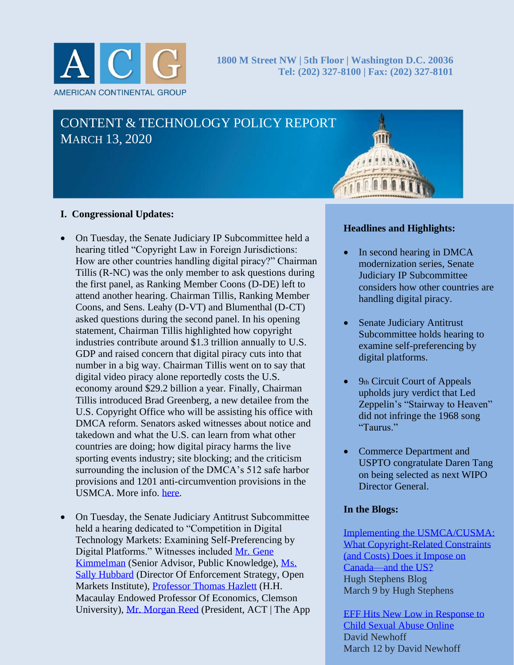

# CONTENT & TECHNOLOGY POLICY REPORT MARCH 13, 2020

#### **I. Congressional Updates:**

- On Tuesday, the Senate Judiciary IP Subcommittee held a hearing titled "Copyright Law in Foreign Jurisdictions: How are other countries handling digital piracy?" Chairman Tillis (R-NC) was the only member to ask questions during the first panel, as Ranking Member Coons (D-DE) left to attend another hearing. Chairman Tillis, Ranking Member Coons, and Sens. Leahy (D-VT) and Blumenthal (D-CT) asked questions during the second panel. In his opening statement, Chairman Tillis highlighted how copyright industries contribute around \$1.3 trillion annually to U.S. GDP and raised concern that digital piracy cuts into that number in a big way. Chairman Tillis went on to say that digital video piracy alone reportedly costs the U.S. economy around \$29.2 billion a year. Finally, Chairman Tillis introduced Brad Greenberg, a new detailee from the U.S. Copyright Office who will be assisting his office with DMCA reform. Senators asked witnesses about notice and takedown and what the U.S. can learn from what other countries are doing; how digital piracy harms the live sporting events industry; site blocking; and the criticism surrounding the inclusion of the DMCA's 512 safe harbor provisions and 1201 anti-circumvention provisions in the USMCA. More info. [here.](https://www.judiciary.senate.gov/meetings/copyright-law-in-foreign-jurisdictions-how-are-other-countries-handling-digital-piracy)
- On Tuesday, the Senate Judiciary Antitrust Subcommittee held a hearing dedicated to "Competition in Digital Technology Markets: Examining Self-Preferencing by Digital Platforms." Witnesses included [Mr. Gene](https://www.judiciary.senate.gov/imo/media/doc/Kimmelman%20Testimony.pdf)  [Kimmelman](https://www.judiciary.senate.gov/imo/media/doc/Kimmelman%20Testimony.pdf) (Senior Advisor, Public Knowledge), [Ms.](https://www.judiciary.senate.gov/imo/media/doc/Hubbard%20Testimony.pdf)  [Sally Hubbard](https://www.judiciary.senate.gov/imo/media/doc/Hubbard%20Testimony.pdf) (Director Of Enforcement Strategy, Open Markets Institute), [Professor Thomas Hazlett](https://www.judiciary.senate.gov/imo/media/doc/Hazlett%20Testimony.pdf) (H.H. Macaulay Endowed Professor Of Economics, Clemson University), [Mr. Morgan Reed](https://www.judiciary.senate.gov/imo/media/doc/Reed%20Testimony.pdf) (President, ACT | The App

#### **Headlines and Highlights:**

- In second hearing in DMCA modernization series, Senate Judiciary IP Subcommittee considers how other countries are handling digital piracy.
- Senate Judiciary Antitrust Subcommittee holds hearing to examine self-preferencing by digital platforms.
- 9th Circuit Court of Appeals upholds jury verdict that Led Zeppelin's "Stairway to Heaven" did not infringe the 1968 song "Taurus."
- Commerce Department and USPTO congratulate Daren Tang on being selected as next WIPO Director General.

#### **In the Blogs:**

Implementing the [USMCA/CUSMA:](https://hughstephensblog.net/2020/03/09/implementing-the-usmca-cusma-what-copyright-related-constraints-and-costs-does-it-impose-on-canada-and-the-us/) What [Copyright-Related](https://hughstephensblog.net/2020/03/09/implementing-the-usmca-cusma-what-copyright-related-constraints-and-costs-does-it-impose-on-canada-and-the-us/) Constraints (and Costs) Does it [Impose](https://hughstephensblog.net/2020/03/09/implementing-the-usmca-cusma-what-copyright-related-constraints-and-costs-does-it-impose-on-canada-and-the-us/) on [Canada—and](https://hughstephensblog.net/2020/03/09/implementing-the-usmca-cusma-what-copyright-related-constraints-and-costs-does-it-impose-on-canada-and-the-us/) the US? Hugh Stephens Blog March 9 by Hugh Stephens

1 Child Sexual Abuse [Online](https://illusionofmore.com/eff-hits-new-low-in-response-to-child-sexual-abuse-online/) EFF Hits New Low in [Response](https://illusionofmore.com/eff-hits-new-low-in-response-to-child-sexual-abuse-online/) to David Newhoff March 12 by David Newhoff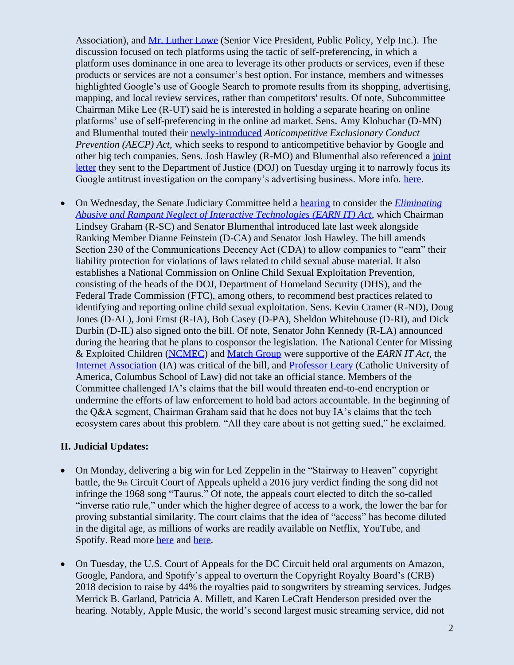Association), and [Mr. Luther Lowe](https://www.judiciary.senate.gov/imo/media/doc/Lowe%20Testimony.pdf) (Senior Vice President, Public Policy, Yelp Inc.). The discussion focused on tech platforms using the tactic of self-preferencing, in which a platform uses dominance in one area to leverage its other products or services, even if these products or services are not a consumer's best option. For instance, members and witnesses highlighted Google's use of Google Search to promote results from its shopping, advertising, mapping, and local review services, rather than competitors' results. Of note, Subcommittee Chairman Mike Lee (R-UT) said he is interested in holding a separate hearing on online platforms' use of self-preferencing in the online ad market. Sens. Amy Klobuchar (D-MN) and Blumenthal touted their [newly-introduced](https://www.klobuchar.senate.gov/public/index.cfm/2020/3/klobuchar-introduces-legislation-to-deter-anticompetitive-abuses) *Anticompetitive Exclusionary Conduct Prevention (AECP) Act*, which seeks to respond to anticompetitive behavior by Google and other big tech companies. Sens. Josh Hawley (R-MO) and Blumenthal also referenced a [joint](https://www.hawley.senate.gov/sites/default/files/2020-03/Hawley-Letter-DOJ-Tech-Investigation-Search.pdf)  [letter](https://www.hawley.senate.gov/sites/default/files/2020-03/Hawley-Letter-DOJ-Tech-Investigation-Search.pdf) they sent to the Department of Justice (DOJ) on Tuesday urging it to narrowly focus its Google antitrust investigation on the company's advertising business. More info. [here.](https://www.judiciary.senate.gov/meetings/competition-in-digital-technology-markets-examining-self-preferencing-by-digital-platforms)

• On Wednesday, the Senate Judiciary Committee held a [hearing](https://www.judiciary.senate.gov/meetings/the-earn-it-act-holding-the-tech-industry-accountable-in-the-fight-against-online-child-sexual-exploitation) to consider the *[Eliminating](https://www.judiciary.senate.gov/imo/media/doc/OLL20160.pdf)  [Abusive and Rampant Neglect of Interactive Technologies \(EARN IT\) Act](https://www.judiciary.senate.gov/imo/media/doc/OLL20160.pdf)*, which Chairman Lindsey Graham (R-SC) and Senator Blumenthal introduced late last week alongside Ranking Member Dianne Feinstein (D-CA) and Senator Josh Hawley. The bill amends Section 230 of the Communications Decency Act (CDA) to allow companies to "earn" their liability protection for violations of laws related to child sexual abuse material. It also establishes a National Commission on Online Child Sexual Exploitation Prevention, consisting of the heads of the DOJ, Department of Homeland Security (DHS), and the Federal Trade Commission (FTC), among others, to recommend best practices related to identifying and reporting online child sexual exploitation. Sens. Kevin Cramer (R-ND), Doug Jones (D-AL), Joni Ernst (R-IA), Bob Casey (D-PA), Sheldon Whitehouse (D-RI), and Dick Durbin (D-IL) also signed onto the bill. Of note, Senator John Kennedy (R-LA) announced during the hearing that he plans to cosponsor the legislation. The National Center for Missing & Exploited Children [\(NCMEC\)](https://www.judiciary.senate.gov/imo/media/doc/Shehan%20Testimony.pdf) and [Match Group](https://www.judiciary.senate.gov/imo/media/doc/Sine%20Testimony.pdf) were supportive of the *EARN IT Act*, the [Internet Association](https://www.judiciary.senate.gov/imo/media/doc/Banker%20Testimony.pdf) (IA) was critical of the bill, and [Professor Leary](https://www.judiciary.senate.gov/imo/media/doc/Leary%20Testimony.pdf) (Catholic University of America, Columbus School of Law) did not take an official stance. Members of the Committee challenged IA's claims that the bill would threaten end-to-end encryption or undermine the efforts of law enforcement to hold bad actors accountable. In the beginning of the Q&A segment, Chairman Graham said that he does not buy IA's claims that the tech ecosystem cares about this problem. "All they care about is not getting sued," he exclaimed.

### **II. Judicial Updates:**

- On Monday, delivering a big win for Led Zeppelin in the "Stairway to Heaven" copyright battle, the 9th Circuit Court of Appeals upheld a 2016 jury verdict finding the song did not infringe the 1968 song "Taurus." Of note, the appeals court elected to ditch the so-called "inverse ratio rule," under which the higher degree of access to a work, the lower the bar for proving substantial similarity. The court claims that the idea of "access" has become diluted in the digital age, as millions of works are readily available on Netflix, YouTube, and Spotify. Read more [here](https://www.documentcloud.org/documents/6801621-Stairway.html) and [here.](https://variety.com/2020/music/news/led-zeppelin-stairway-to-heaven-copyright-lawsuit-1203527581/)
- On Tuesday, the U.S. Court of Appeals for the DC Circuit held oral arguments on Amazon, Google, Pandora, and Spotify's appeal to overturn the Copyright Royalty Board's (CRB) 2018 decision to raise by 44% the royalties paid to songwriters by streaming services. Judges Merrick B. Garland, Patricia A. Millett, and Karen LeCraft Henderson presided over the hearing. Notably, Apple Music, the world's second largest music streaming service, did not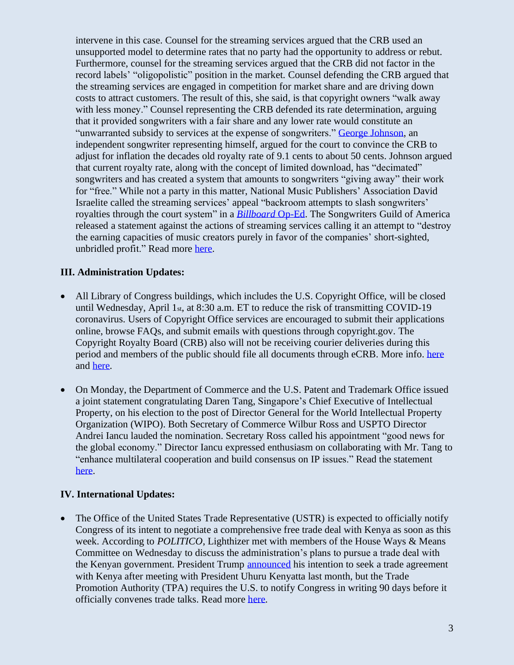intervene in this case. Counsel for the streaming services argued that the CRB used an unsupported model to determine rates that no party had the opportunity to address or rebut. Furthermore, counsel for the streaming services argued that the CRB did not factor in the record labels' "oligopolistic" position in the market. Counsel defending the CRB argued that the streaming services are engaged in competition for market share and are driving down costs to attract customers. The result of this, she said, is that copyright owners "walk away with less money." Counsel representing the CRB defended its rate determination, arguing that it provided songwriters with a fair share and any lower rate would constitute an "unwarranted subsidy to services at the expense of songwriters." George [Johnson,](https://www.protocol.com/songwriter-goes-after-streaming-royalties) an independent songwriter representing himself, argued for the court to convince the CRB to adjust for inflation the decades old royalty rate of 9.1 cents to about 50 cents. Johnson argued that current royalty rate, along with the concept of limited download, has "decimated" songwriters and has created a system that amounts to songwriters "giving away" their work for "free." While not a party in this matter, National Music Publishers' Association David Israelite called the streaming services' appeal "backroom attempts to slash songwriters' royalties through the court system" in a *[Billboard](https://www.billboard.com/articles/business/9330522/nmpa-david-israelite-guest-oped-spotify-amazon-court-royalties?fbclid=IwAR2keoXAn0R5e840FEavA6TiKPj4x0HMWd4es0fLkSsFurg1mJOfSUMmylA)* Op-Ed. The Songwriters Guild of America released a statement against the actions of streaming services calling it an attempt to "destroy the earning capacities of music creators purely in favor of the companies' short-sighted, unbridled profit." Read more [here.](https://variety.com/2020/music/news/spotify-amazon-songwriter-royalties-court-appeals-1203528044/)

### **III. Administration Updates:**

- All Library of Congress buildings, which includes the U.S. Copyright Office, will be closed until Wednesday, April 1 $_{\text{st}}$ , at 8:30 a.m. ET to reduce the risk of transmitting COVID-19 coronavirus. Users of Copyright Office services are encouraged to submit their applications online, browse FAQs, and submit emails with questions through copyright.gov. The Copyright Royalty Board (CRB) also will not be receiving courier deliveries during this period and members of the public should file all documents through eCRB. More info. [here](https://app.crb.gov/) and [here.](https://www.loc.gov/about/pandemic-information/for-public/)
- On Monday, the Department of Commerce and the U.S. Patent and Trademark Office issued a joint statement congratulating Daren Tang, Singapore's Chief Executive of Intellectual Property, on his election to the post of Director General for the World Intellectual Property Organization (WIPO). Both Secretary of Commerce Wilbur Ross and USPTO Director Andrei Iancu lauded the nomination. Secretary Ross called his appointment "good news for the global economy." Director Iancu expressed enthusiasm on collaborating with Mr. Tang to "enhance multilateral cooperation and build consensus on IP issues." Read the statement [here.](https://www.uspto.gov/about-us/news-updates/statement-us-secretary-commerce-wilbur-l-ross-and-uspto-director-andrei-iancu)

### **IV. International Updates:**

• The Office of the United States Trade Representative (USTR) is expected to officially notify Congress of its intent to negotiate a comprehensive free trade deal with Kenya as soon as this week. According to *POLITICO*, Lighthizer met with members of the House Ways & Means Committee on Wednesday to discuss the administration's plans to pursue a trade deal with the Kenyan government. President Trump [announced](https://ustr.gov/about-us/policy-offices/press-office/press-releases/2020/february/president-trump-announces-intent-negotiate-trade-agreement-kenya) his intention to seek a trade agreement with Kenya after meeting with President Uhuru Kenyatta last month, but the Trade Promotion Authority (TPA) requires the U.S. to notify Congress in writing 90 days before it officially convenes trade talks. Read more [here.](https://subscriber.politicopro.com/article/2020/03/lighthizer-set-to-notify-congress-of-us-kenya-trade-talks-1890867)